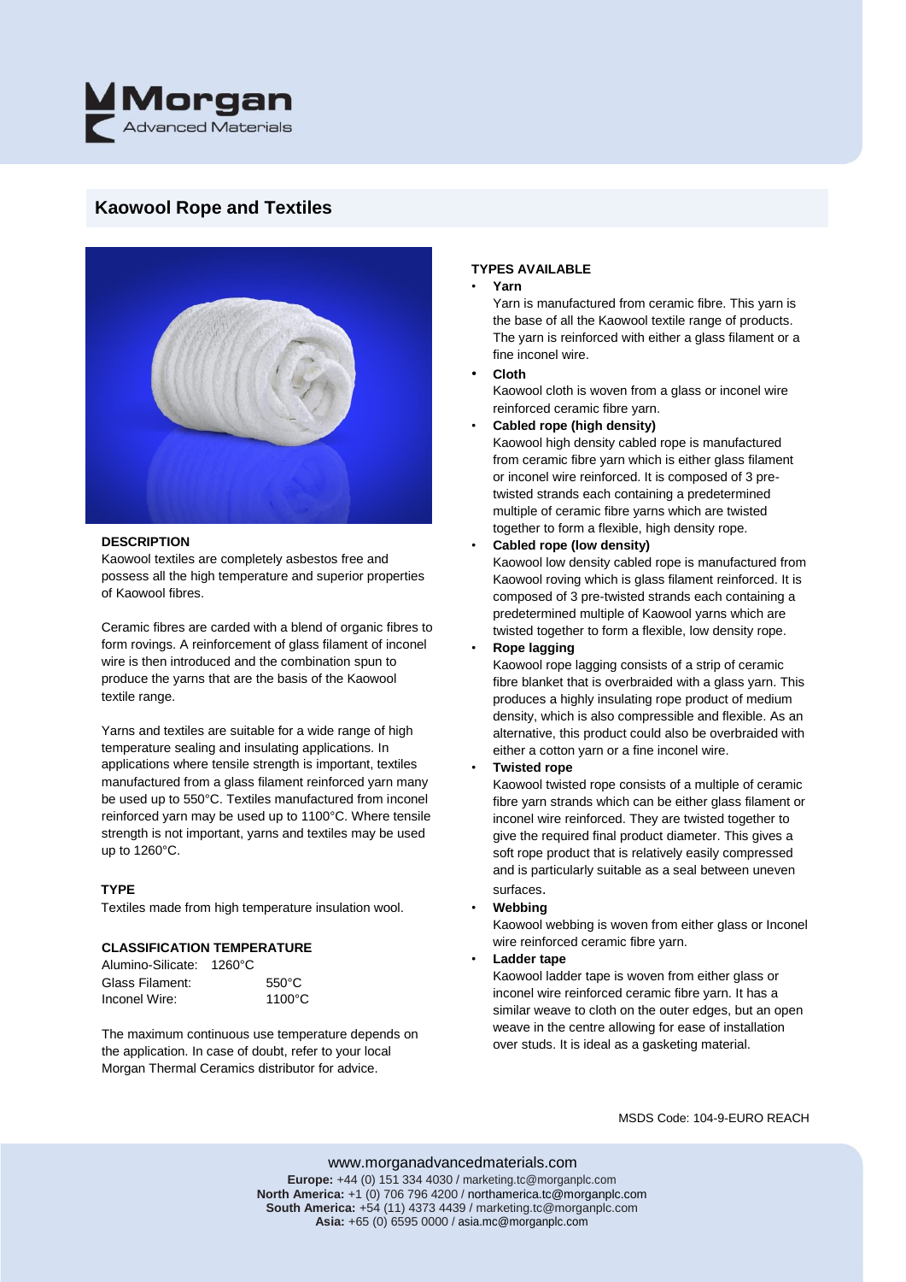

## **Kaowool Rope and Textiles**



#### **DESCRIPTION**

Kaowool textiles are completely asbestos free and possess all the high temperature and superior properties of Kaowool fibres.

Ceramic fibres are carded with a blend of organic fibres to form rovings. A reinforcement of glass filament of inconel wire is then introduced and the combination spun to produce the yarns that are the basis of the Kaowool textile range.

Yarns and textiles are suitable for a wide range of high temperature sealing and insulating applications. In applications where tensile strength is important, textiles manufactured from a glass filament reinforced yarn many be used up to 550°C. Textiles manufactured from inconel reinforced yarn may be used up to 1100°C. Where tensile strength is not important, yarns and textiles may be used up to 1260°C.

#### **TYPE**

Textiles made from high temperature insulation wool.

#### **CLASSIFICATION TEMPERATURE**

| Alumino-Silicate:<br>1260°C |                  |
|-----------------------------|------------------|
|                             | $550^{\circ}$ C  |
|                             | $1100^{\circ}$ C |
|                             |                  |

The maximum continuous use temperature depends on the application. In case of doubt, refer to your local Morgan Thermal Ceramics distributor for advice.

#### **TYPES AVAILABLE**

• **Yarn**

Yarn is manufactured from ceramic fibre. This yarn is the base of all the Kaowool textile range of products. The yarn is reinforced with either a glass filament or a fine inconel wire.

• **Cloth**

Kaowool cloth is woven from a glass or inconel wire reinforced ceramic fibre yarn.

• **Cabled rope (high density)**

Kaowool high density cabled rope is manufactured from ceramic fibre yarn which is either glass filament or inconel wire reinforced. It is composed of 3 pretwisted strands each containing a predetermined multiple of ceramic fibre yarns which are twisted together to form a flexible, high density rope.

## • **Cabled rope (low density)**

Kaowool low density cabled rope is manufactured from Kaowool roving which is glass filament reinforced. It is composed of 3 pre-twisted strands each containing a predetermined multiple of Kaowool yarns which are twisted together to form a flexible, low density rope.

• **Rope lagging**

Kaowool rope lagging consists of a strip of ceramic fibre blanket that is overbraided with a glass yarn. This produces a highly insulating rope product of medium density, which is also compressible and flexible. As an alternative, this product could also be overbraided with either a cotton yarn or a fine inconel wire.

#### • **Twisted rope**

Kaowool twisted rope consists of a multiple of ceramic fibre yarn strands which can be either glass filament or inconel wire reinforced. They are twisted together to give the required final product diameter. This gives a soft rope product that is relatively easily compressed and is particularly suitable as a seal between uneven surfaces.

#### • **Webbing**

Kaowool webbing is woven from either glass or Inconel wire reinforced ceramic fibre yarn.

## • **Ladder tape**

Kaowool ladder tape is woven from either glass or inconel wire reinforced ceramic fibre yarn. It has a similar weave to cloth on the outer edges, but an open weave in the centre allowing for ease of installation over studs. It is ideal as a gasketing material.

MSDS Code: 104-9-EURO REACH

www.morganadvancedmaterials.com **Europe:** +44 (0) 151 334 4030 / marketing.tc@morganplc.com **North America:** +1 (0) 706 796 4200 / northamerica.tc@morganplc.com **South America:** +54 (11) 4373 4439 / marketing.tc@morganplc.com **Asia:** +65 (0) 6595 0000 / asia.mc@morganplc.com